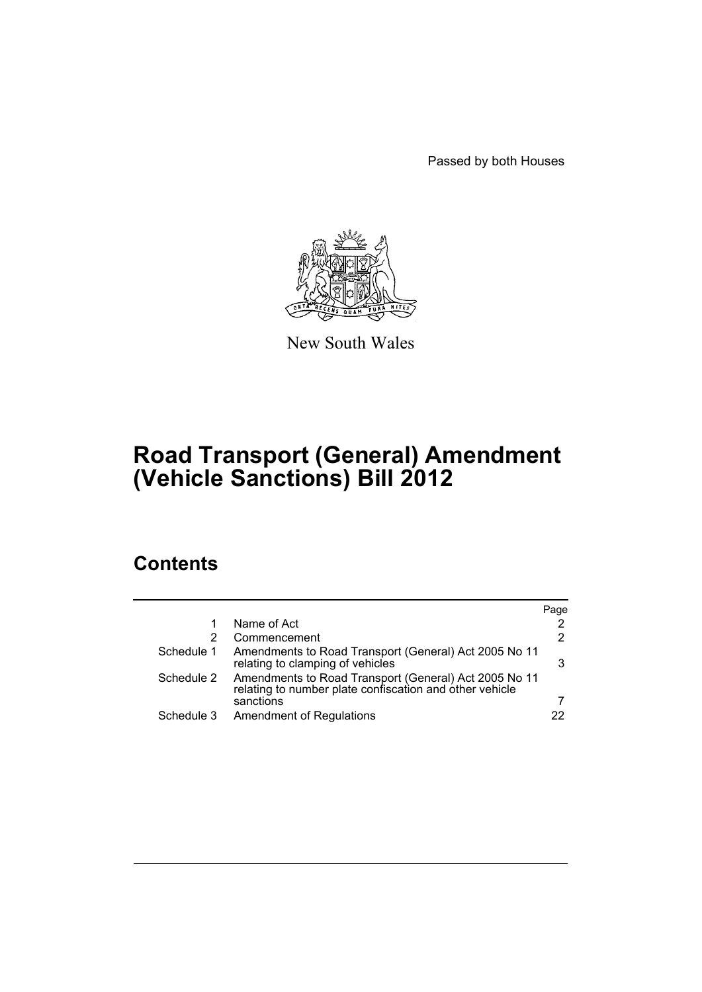Passed by both Houses



New South Wales

# **Road Transport (General) Amendment (Vehicle Sanctions) Bill 2012**

# **Contents**

|            |                                                                                                                  | Page |
|------------|------------------------------------------------------------------------------------------------------------------|------|
|            | Name of Act                                                                                                      | 2    |
| 2          | Commencement                                                                                                     | 2    |
| Schedule 1 | Amendments to Road Transport (General) Act 2005 No 11<br>relating to clamping of vehicles                        | 3    |
| Schedule 2 | Amendments to Road Transport (General) Act 2005 No 11<br>relating to number plate confiscation and other vehicle |      |
|            | sanctions                                                                                                        |      |
| Schedule 3 | <b>Amendment of Regulations</b>                                                                                  | 22.  |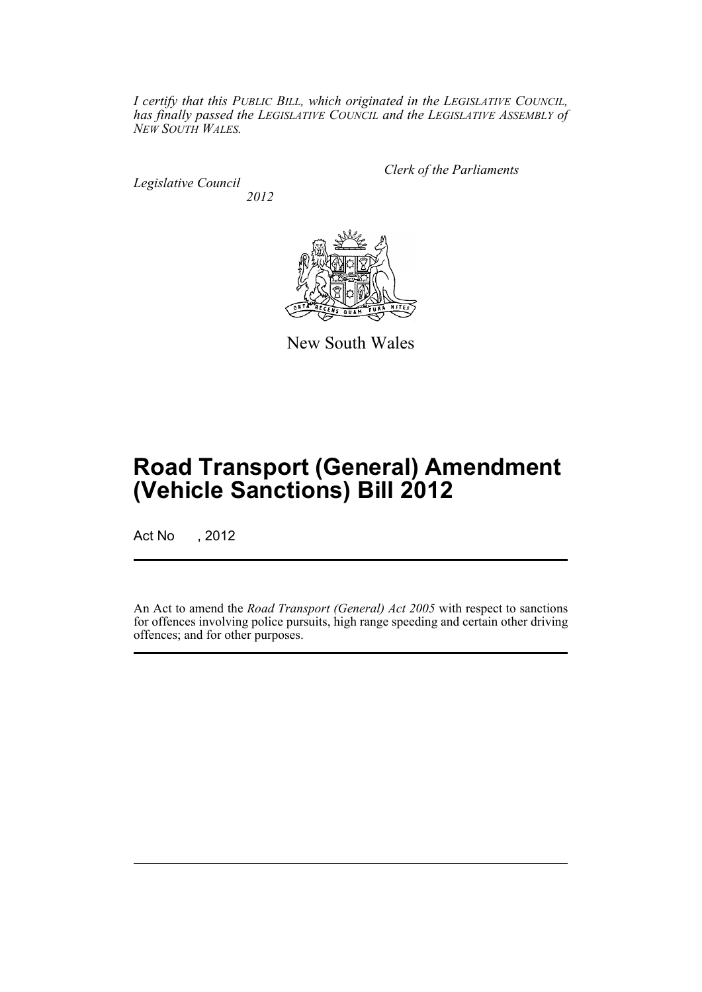*I certify that this PUBLIC BILL, which originated in the LEGISLATIVE COUNCIL, has finally passed the LEGISLATIVE COUNCIL and the LEGISLATIVE ASSEMBLY of NEW SOUTH WALES.*

*Legislative Council 2012* *Clerk of the Parliaments*



New South Wales

# **Road Transport (General) Amendment (Vehicle Sanctions) Bill 2012**

Act No , 2012

An Act to amend the *Road Transport (General) Act 2005* with respect to sanctions for offences involving police pursuits, high range speeding and certain other driving offences; and for other purposes.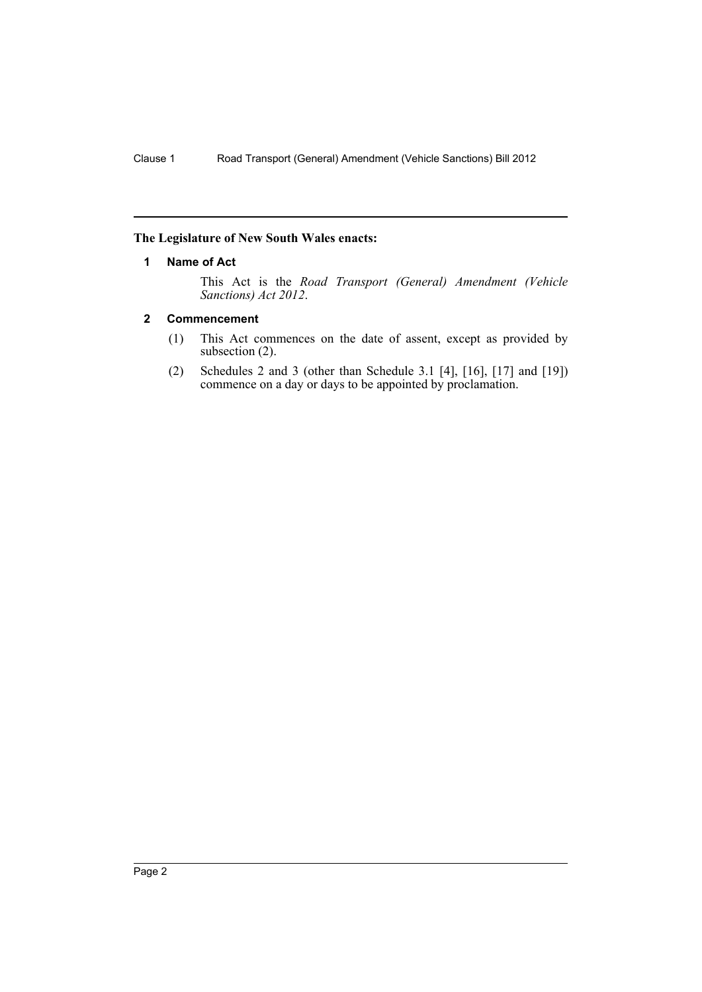## <span id="page-3-0"></span>**The Legislature of New South Wales enacts:**

### **1 Name of Act**

This Act is the *Road Transport (General) Amendment (Vehicle Sanctions) Act 2012*.

## <span id="page-3-1"></span>**2 Commencement**

- (1) This Act commences on the date of assent, except as provided by subsection (2).
- (2) Schedules 2 and 3 (other than Schedule 3.1 [4], [16], [17] and [19]) commence on a day or days to be appointed by proclamation.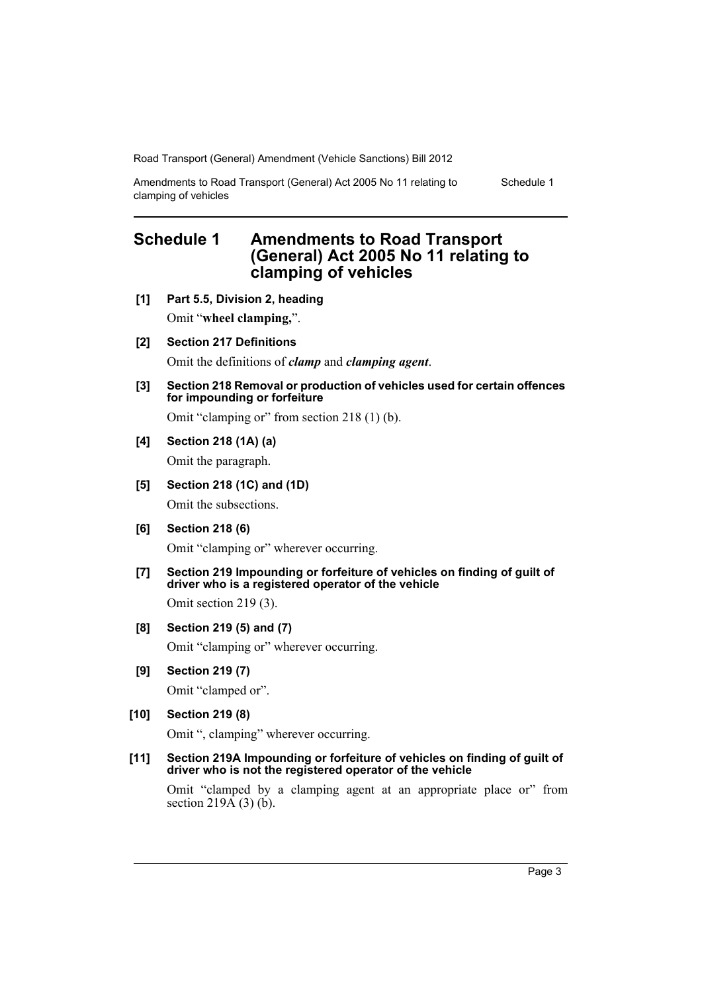Amendments to Road Transport (General) Act 2005 No 11 relating to clamping of vehicles

Schedule 1

# <span id="page-4-0"></span>**Schedule 1 Amendments to Road Transport (General) Act 2005 No 11 relating to clamping of vehicles**

- **[1] Part 5.5, Division 2, heading** Omit "**wheel clamping,**".
- **[2] Section 217 Definitions**

Omit the definitions of *clamp* and *clamping agent*.

**[3] Section 218 Removal or production of vehicles used for certain offences for impounding or forfeiture**

Omit "clamping or" from section 218 (1) (b).

# **[4] Section 218 (1A) (a)**

Omit the paragraph.

# **[5] Section 218 (1C) and (1D)**

Omit the subsections.

**[6] Section 218 (6)**

Omit "clamping or" wherever occurring.

**[7] Section 219 Impounding or forfeiture of vehicles on finding of guilt of driver who is a registered operator of the vehicle**

Omit section 219 (3).

# **[8] Section 219 (5) and (7)**

Omit "clamping or" wherever occurring.

**[9] Section 219 (7)**

Omit "clamped or".

# **[10] Section 219 (8)**

Omit ", clamping" wherever occurring.

### **[11] Section 219A Impounding or forfeiture of vehicles on finding of guilt of driver who is not the registered operator of the vehicle**

Omit "clamped by a clamping agent at an appropriate place or" from section  $219\overline{A}(3)$  (b).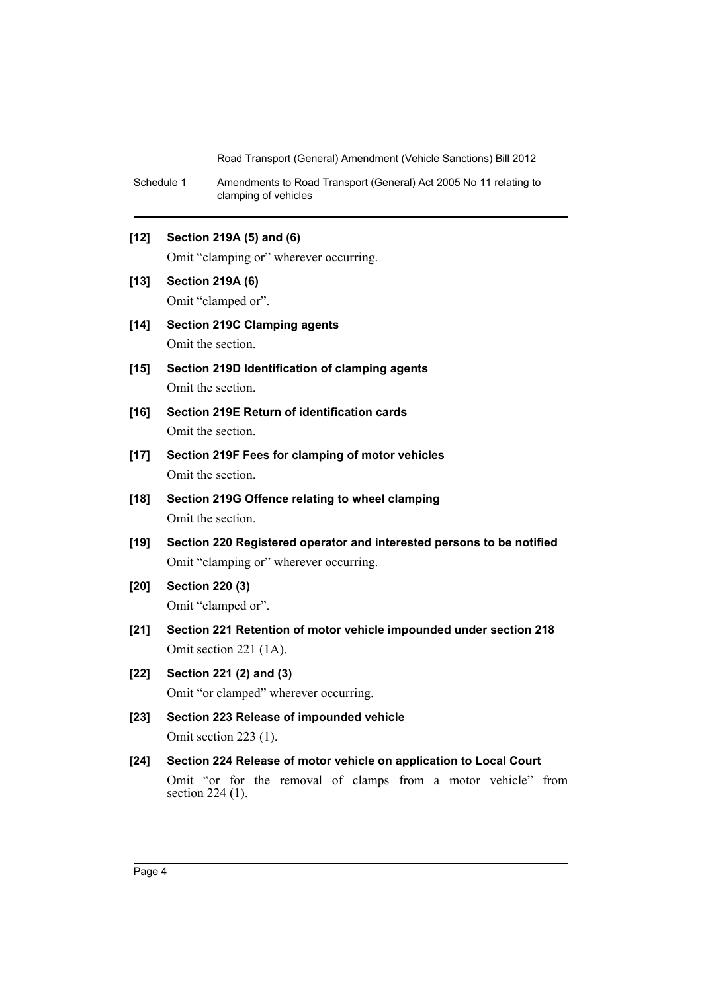Schedule 1 Amendments to Road Transport (General) Act 2005 No 11 relating to clamping of vehicles

# **[12] Section 219A (5) and (6)**

Omit "clamping or" wherever occurring.

- **[13] Section 219A (6)** Omit "clamped or".
- **[14] Section 219C Clamping agents** Omit the section.
- **[15] Section 219D Identification of clamping agents** Omit the section.
- **[16] Section 219E Return of identification cards** Omit the section.
- **[17] Section 219F Fees for clamping of motor vehicles** Omit the section.
- **[18] Section 219G Offence relating to wheel clamping** Omit the section.
- **[19] Section 220 Registered operator and interested persons to be notified** Omit "clamping or" wherever occurring.
- **[20] Section 220 (3)** Omit "clamped or".
- **[21] Section 221 Retention of motor vehicle impounded under section 218** Omit section 221 (1A).
- **[22] Section 221 (2) and (3)** Omit "or clamped" wherever occurring.
- **[23] Section 223 Release of impounded vehicle** Omit section 223 (1).
- **[24] Section 224 Release of motor vehicle on application to Local Court** Omit "or for the removal of clamps from a motor vehicle" from section 224 (1).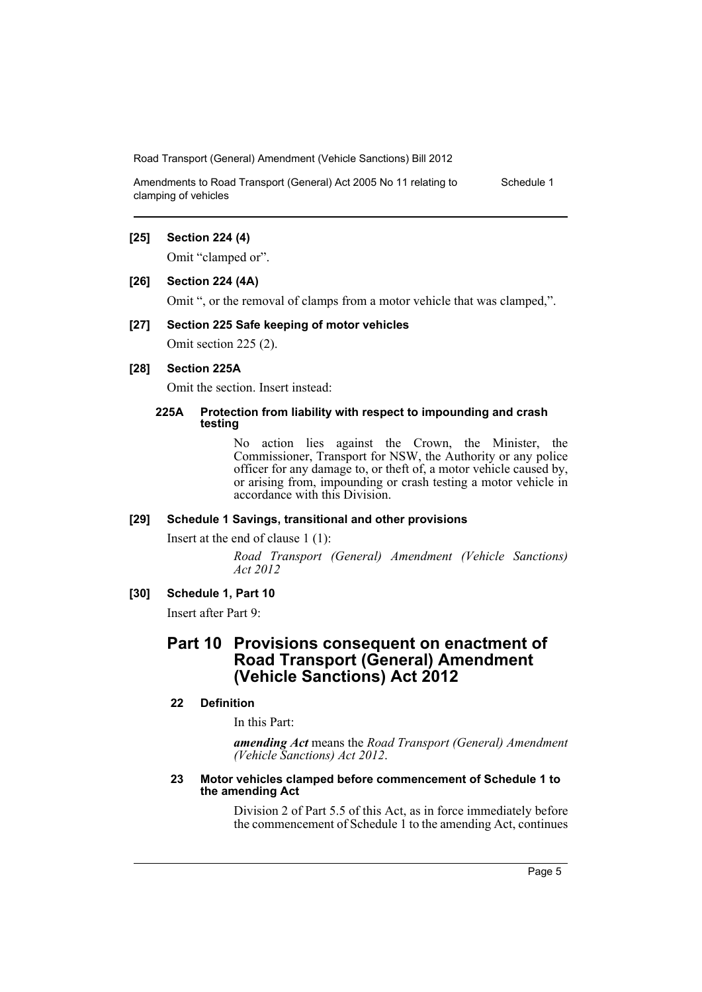Amendments to Road Transport (General) Act 2005 No 11 relating to clamping of vehicles Schedule 1

#### **[25] Section 224 (4)**

Omit "clamped or".

#### **[26] Section 224 (4A)**

Omit ", or the removal of clamps from a motor vehicle that was clamped,".

#### **[27] Section 225 Safe keeping of motor vehicles**

Omit section 225 (2).

# **[28] Section 225A**

Omit the section. Insert instead:

#### **225A Protection from liability with respect to impounding and crash testing**

No action lies against the Crown, the Minister, the Commissioner, Transport for NSW, the Authority or any police officer for any damage to, or theft of, a motor vehicle caused by, or arising from, impounding or crash testing a motor vehicle in accordance with this Division.

#### **[29] Schedule 1 Savings, transitional and other provisions**

Insert at the end of clause 1 (1):

*Road Transport (General) Amendment (Vehicle Sanctions) Act 2012*

### **[30] Schedule 1, Part 10**

Insert after Part 9:

# **Part 10 Provisions consequent on enactment of Road Transport (General) Amendment (Vehicle Sanctions) Act 2012**

# **22 Definition**

In this Part:

*amending Act* means the *Road Transport (General) Amendment (Vehicle Sanctions) Act 2012*.

#### **23 Motor vehicles clamped before commencement of Schedule 1 to the amending Act**

Division 2 of Part 5.5 of this Act, as in force immediately before the commencement of Schedule 1 to the amending Act, continues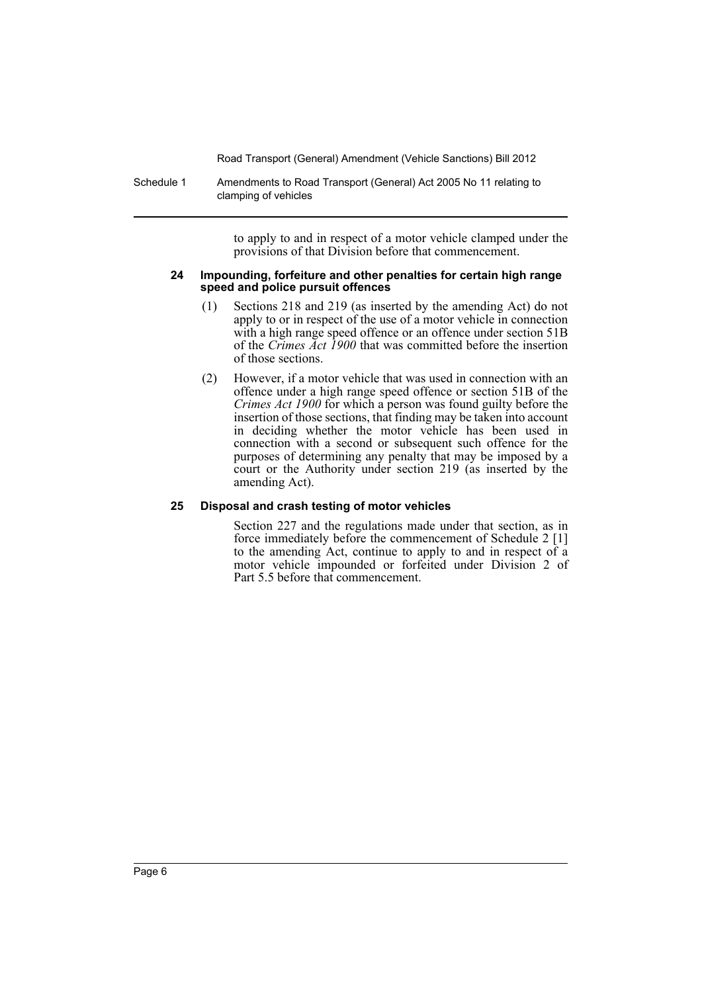Schedule 1 Amendments to Road Transport (General) Act 2005 No 11 relating to clamping of vehicles

> to apply to and in respect of a motor vehicle clamped under the provisions of that Division before that commencement.

#### **24 Impounding, forfeiture and other penalties for certain high range speed and police pursuit offences**

- (1) Sections 218 and 219 (as inserted by the amending Act) do not apply to or in respect of the use of a motor vehicle in connection with a high range speed offence or an offence under section 51B of the *Crimes Act 1900* that was committed before the insertion of those sections.
- (2) However, if a motor vehicle that was used in connection with an offence under a high range speed offence or section 51B of the *Crimes Act 1900* for which a person was found guilty before the insertion of those sections, that finding may be taken into account in deciding whether the motor vehicle has been used in connection with a second or subsequent such offence for the purposes of determining any penalty that may be imposed by a court or the Authority under section 219 (as inserted by the amending Act).

# **25 Disposal and crash testing of motor vehicles**

Section 227 and the regulations made under that section, as in force immediately before the commencement of Schedule 2 [1] to the amending Act, continue to apply to and in respect of a motor vehicle impounded or forfeited under Division 2 of Part 5.5 before that commencement.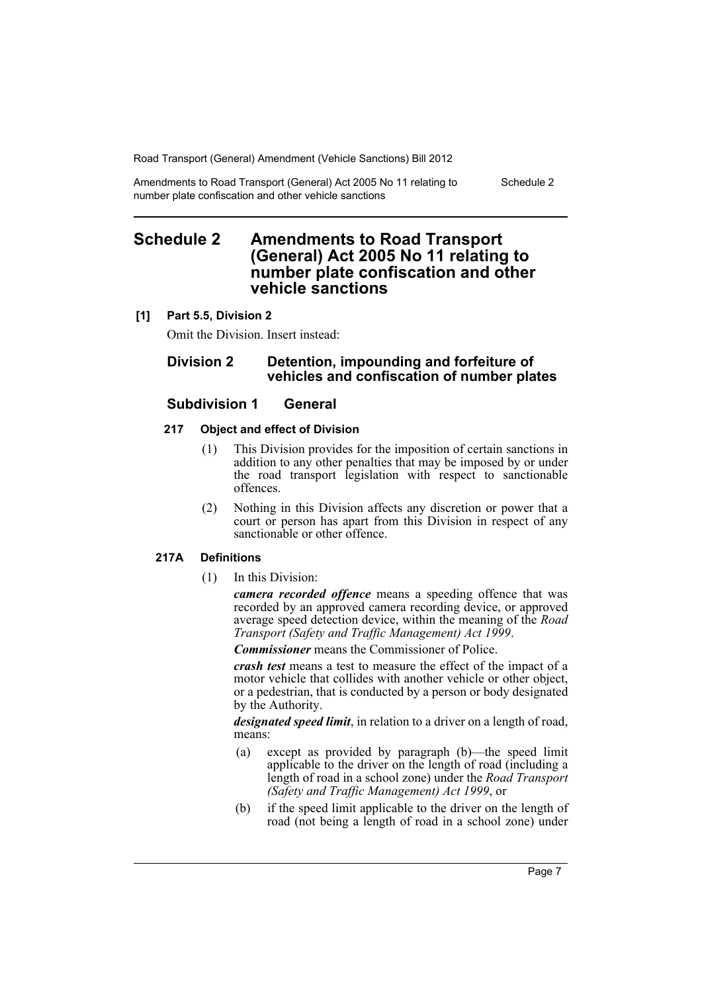Amendments to Road Transport (General) Act 2005 No 11 relating to number plate confiscation and other vehicle sanctions Schedule 2

# <span id="page-8-0"></span>**Schedule 2 Amendments to Road Transport (General) Act 2005 No 11 relating to number plate confiscation and other vehicle sanctions**

# **[1] Part 5.5, Division 2**

Omit the Division. Insert instead:

# **Division 2 Detention, impounding and forfeiture of vehicles and confiscation of number plates**

# **Subdivision 1 General**

#### **217 Object and effect of Division**

- (1) This Division provides for the imposition of certain sanctions in addition to any other penalties that may be imposed by or under the road transport legislation with respect to sanctionable offences.
- (2) Nothing in this Division affects any discretion or power that a court or person has apart from this Division in respect of any sanctionable or other offence.

# **217A Definitions**

(1) In this Division:

*camera recorded offence* means a speeding offence that was recorded by an approved camera recording device, or approved average speed detection device, within the meaning of the *Road Transport (Safety and Traffic Management) Act 1999*.

*Commissioner* means the Commissioner of Police.

*crash test* means a test to measure the effect of the impact of a motor vehicle that collides with another vehicle or other object, or a pedestrian, that is conducted by a person or body designated by the Authority.

*designated speed limit*, in relation to a driver on a length of road, means:

- (a) except as provided by paragraph (b)—the speed limit applicable to the driver on the length of road (including a length of road in a school zone) under the *Road Transport (Safety and Traffic Management) Act 1999*, or
- (b) if the speed limit applicable to the driver on the length of road (not being a length of road in a school zone) under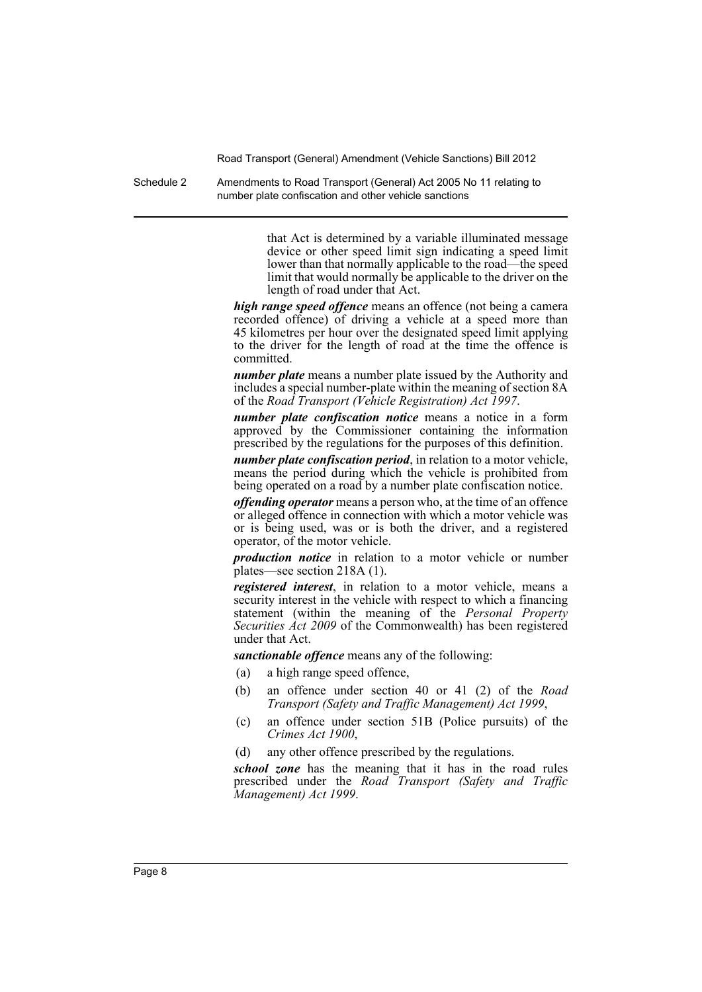Schedule 2 Amendments to Road Transport (General) Act 2005 No 11 relating to number plate confiscation and other vehicle sanctions

> that Act is determined by a variable illuminated message device or other speed limit sign indicating a speed limit lower than that normally applicable to the road—the speed limit that would normally be applicable to the driver on the length of road under that Act.

*high range speed offence* means an offence (not being a camera recorded offence) of driving a vehicle at a speed more than 45 kilometres per hour over the designated speed limit applying to the driver for the length of road at the time the offence is committed.

*number plate* means a number plate issued by the Authority and includes a special number-plate within the meaning of section 8A of the *Road Transport (Vehicle Registration) Act 1997*.

*number plate confiscation notice* means a notice in a form approved by the Commissioner containing the information prescribed by the regulations for the purposes of this definition.

*number plate confiscation period*, in relation to a motor vehicle, means the period during which the vehicle is prohibited from being operated on a road by a number plate confiscation notice.

*offending operator* means a person who, at the time of an offence or alleged offence in connection with which a motor vehicle was or is being used, was or is both the driver, and a registered operator, of the motor vehicle.

*production notice* in relation to a motor vehicle or number plates—see section 218A (1).

*registered interest*, in relation to a motor vehicle, means a security interest in the vehicle with respect to which a financing statement (within the meaning of the *Personal Property Securities Act 2009* of the Commonwealth) has been registered under that Act.

*sanctionable offence* means any of the following:

- (a) a high range speed offence,
- (b) an offence under section 40 or 41 (2) of the *Road Transport (Safety and Traffic Management) Act 1999*,
- (c) an offence under section 51B (Police pursuits) of the *Crimes Act 1900*,
- (d) any other offence prescribed by the regulations.

*school zone* has the meaning that it has in the road rules prescribed under the *Road Transport (Safety and Traffic Management) Act 1999*.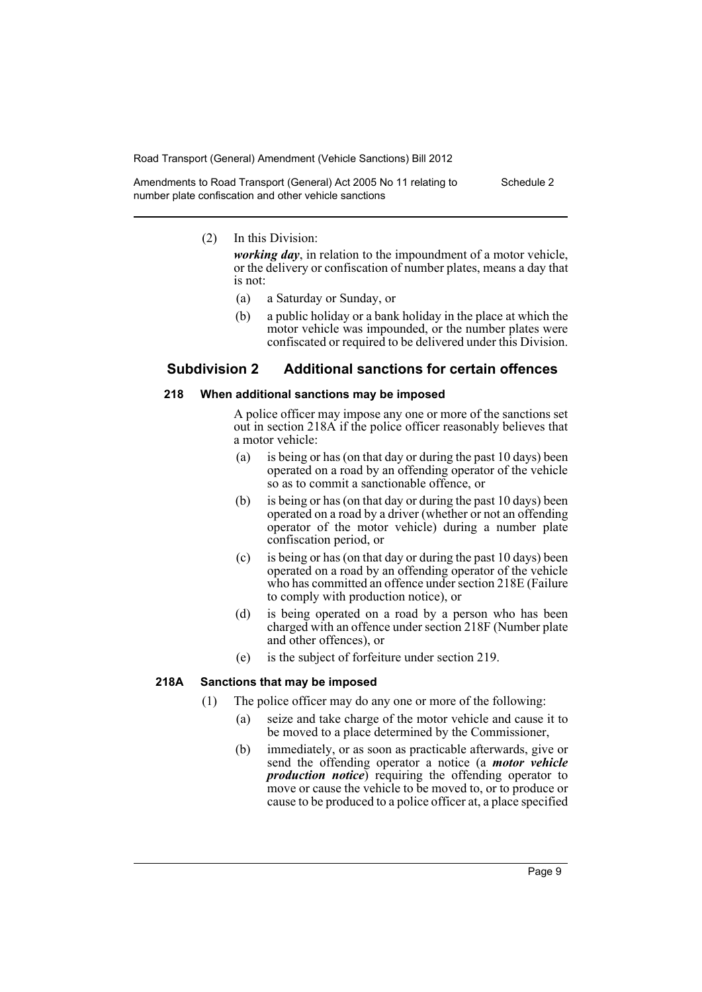Amendments to Road Transport (General) Act 2005 No 11 relating to number plate confiscation and other vehicle sanctions Schedule 2

#### (2) In this Division:

*working day*, in relation to the impoundment of a motor vehicle, or the delivery or confiscation of number plates, means a day that is not:

- (a) a Saturday or Sunday, or
- (b) a public holiday or a bank holiday in the place at which the motor vehicle was impounded, or the number plates were confiscated or required to be delivered under this Division.

# **Subdivision 2 Additional sanctions for certain offences**

#### **218 When additional sanctions may be imposed**

A police officer may impose any one or more of the sanctions set out in section 218A if the police officer reasonably believes that a motor vehicle:

- (a) is being or has (on that day or during the past 10 days) been operated on a road by an offending operator of the vehicle so as to commit a sanctionable offence, or
- (b) is being or has (on that day or during the past 10 days) been operated on a road by a driver (whether or not an offending operator of the motor vehicle) during a number plate confiscation period, or
- (c) is being or has (on that day or during the past 10 days) been operated on a road by an offending operator of the vehicle who has committed an offence under section 218E (Failure to comply with production notice), or
- (d) is being operated on a road by a person who has been charged with an offence under section 218F (Number plate and other offences), or
- (e) is the subject of forfeiture under section 219.

#### **218A Sanctions that may be imposed**

- (1) The police officer may do any one or more of the following:
	- (a) seize and take charge of the motor vehicle and cause it to be moved to a place determined by the Commissioner,
	- (b) immediately, or as soon as practicable afterwards, give or send the offending operator a notice (a *motor vehicle production notice*) requiring the offending operator to move or cause the vehicle to be moved to, or to produce or cause to be produced to a police officer at, a place specified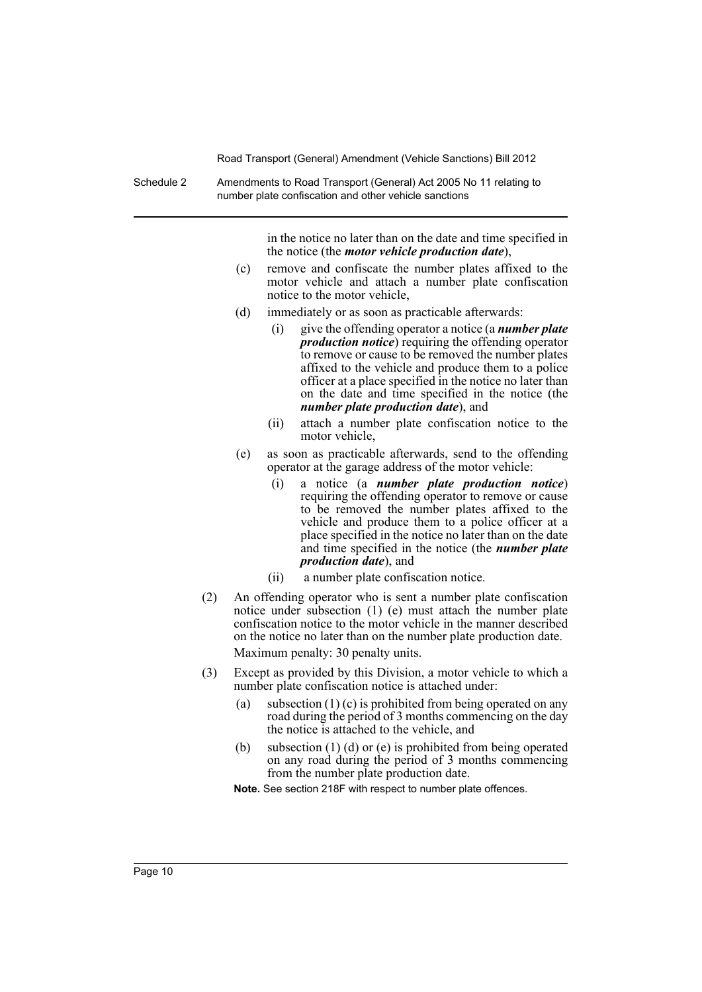Schedule 2 Amendments to Road Transport (General) Act 2005 No 11 relating to number plate confiscation and other vehicle sanctions

> in the notice no later than on the date and time specified in the notice (the *motor vehicle production date*),

- (c) remove and confiscate the number plates affixed to the motor vehicle and attach a number plate confiscation notice to the motor vehicle,
- (d) immediately or as soon as practicable afterwards:
	- (i) give the offending operator a notice (a *number plate production notice*) requiring the offending operator to remove or cause to be removed the number plates affixed to the vehicle and produce them to a police officer at a place specified in the notice no later than on the date and time specified in the notice (the *number plate production date*), and
	- (ii) attach a number plate confiscation notice to the motor vehicle,
- (e) as soon as practicable afterwards, send to the offending operator at the garage address of the motor vehicle:
	- (i) a notice (a *number plate production notice*) requiring the offending operator to remove or cause to be removed the number plates affixed to the vehicle and produce them to a police officer at a place specified in the notice no later than on the date and time specified in the notice (the *number plate production date*), and
	- (ii) a number plate confiscation notice.
- (2) An offending operator who is sent a number plate confiscation notice under subsection (1) (e) must attach the number plate confiscation notice to the motor vehicle in the manner described on the notice no later than on the number plate production date. Maximum penalty: 30 penalty units.
- (3) Except as provided by this Division, a motor vehicle to which a number plate confiscation notice is attached under:
	- (a) subsection (1) (c) is prohibited from being operated on any road during the period of 3 months commencing on the day the notice is attached to the vehicle, and
	- (b) subsection (1) (d) or (e) is prohibited from being operated on any road during the period of 3 months commencing from the number plate production date.

**Note.** See section 218F with respect to number plate offences.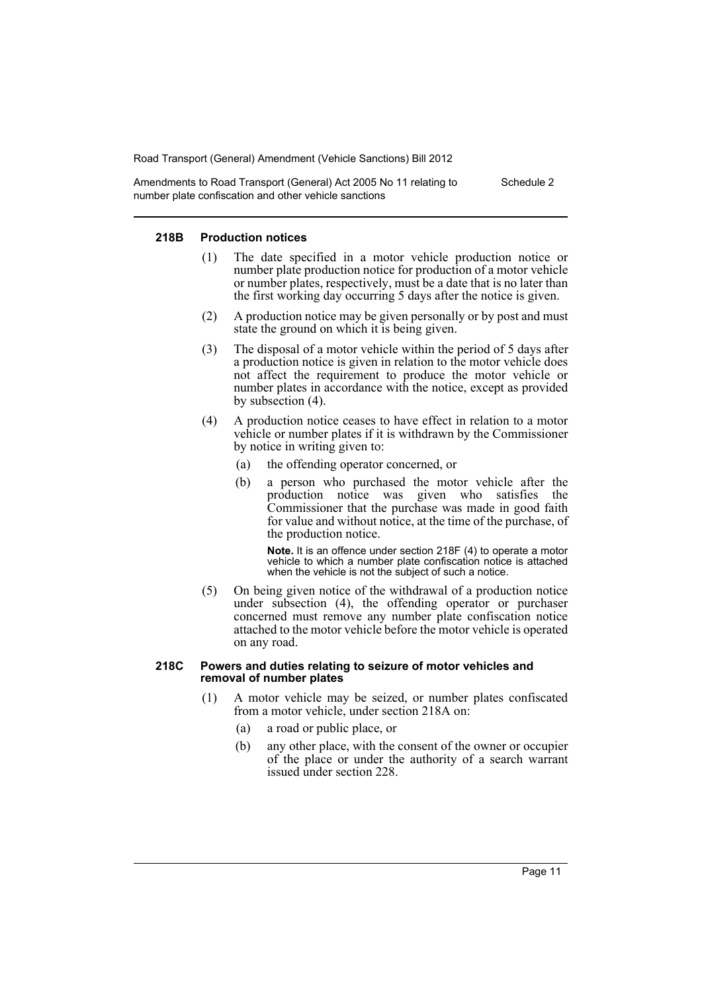Amendments to Road Transport (General) Act 2005 No 11 relating to number plate confiscation and other vehicle sanctions Schedule 2

#### **218B Production notices**

- (1) The date specified in a motor vehicle production notice or number plate production notice for production of a motor vehicle or number plates, respectively, must be a date that is no later than the first working day occurring 5 days after the notice is given.
- (2) A production notice may be given personally or by post and must state the ground on which it is being given.
- (3) The disposal of a motor vehicle within the period of 5 days after a production notice is given in relation to the motor vehicle does not affect the requirement to produce the motor vehicle or number plates in accordance with the notice, except as provided by subsection (4).
- (4) A production notice ceases to have effect in relation to a motor vehicle or number plates if it is withdrawn by the Commissioner by notice in writing given to:
	- (a) the offending operator concerned, or
	- (b) a person who purchased the motor vehicle after the production notice was given who satisfies the Commissioner that the purchase was made in good faith for value and without notice, at the time of the purchase, of the production notice.

**Note.** It is an offence under section 218F (4) to operate a motor vehicle to which a number plate confiscation notice is attached when the vehicle is not the subject of such a notice.

(5) On being given notice of the withdrawal of a production notice under subsection (4), the offending operator or purchaser concerned must remove any number plate confiscation notice attached to the motor vehicle before the motor vehicle is operated on any road.

#### **218C Powers and duties relating to seizure of motor vehicles and removal of number plates**

- (1) A motor vehicle may be seized, or number plates confiscated from a motor vehicle, under section 218A on:
	- (a) a road or public place, or
	- (b) any other place, with the consent of the owner or occupier of the place or under the authority of a search warrant issued under section 228.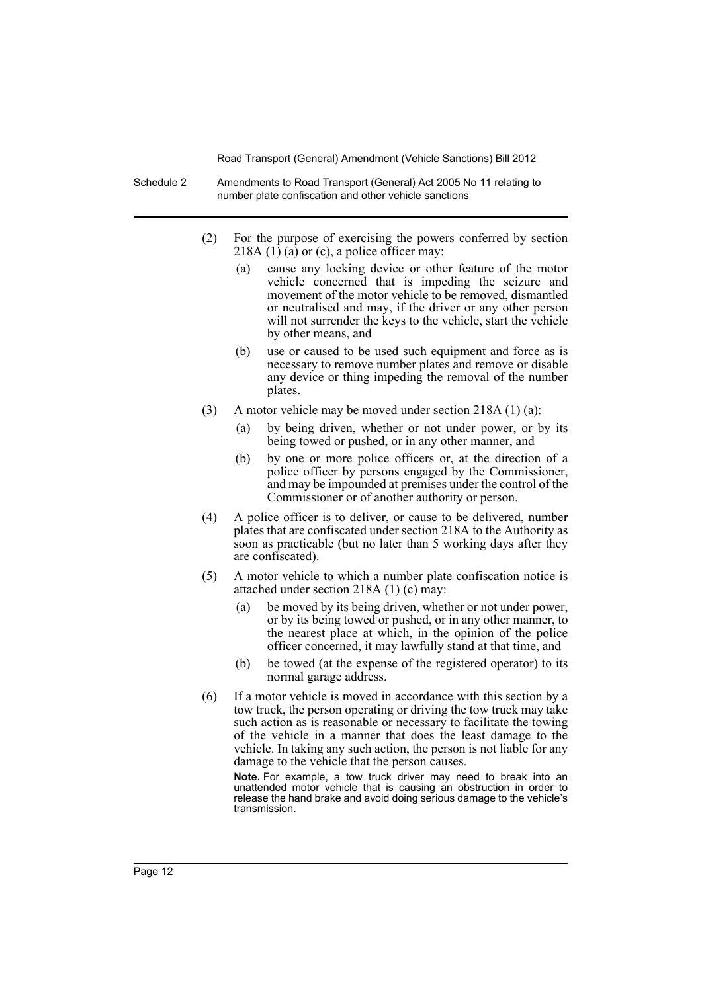- Schedule 2 Amendments to Road Transport (General) Act 2005 No 11 relating to number plate confiscation and other vehicle sanctions
	- (2) For the purpose of exercising the powers conferred by section 218A  $(1)$   $(a)$  or  $(c)$ , a police officer may:
		- (a) cause any locking device or other feature of the motor vehicle concerned that is impeding the seizure and movement of the motor vehicle to be removed, dismantled or neutralised and may, if the driver or any other person will not surrender the keys to the vehicle, start the vehicle by other means, and
		- (b) use or caused to be used such equipment and force as is necessary to remove number plates and remove or disable any device or thing impeding the removal of the number plates.
	- (3) A motor vehicle may be moved under section 218A (1) (a):
		- (a) by being driven, whether or not under power, or by its being towed or pushed, or in any other manner, and
		- (b) by one or more police officers or, at the direction of a police officer by persons engaged by the Commissioner, and may be impounded at premises under the control of the Commissioner or of another authority or person.
	- (4) A police officer is to deliver, or cause to be delivered, number plates that are confiscated under section 218A to the Authority as soon as practicable (but no later than 5 working days after they are confiscated).
	- (5) A motor vehicle to which a number plate confiscation notice is attached under section 218A (1) (c) may:
		- (a) be moved by its being driven, whether or not under power, or by its being towed or pushed, or in any other manner, to the nearest place at which, in the opinion of the police officer concerned, it may lawfully stand at that time, and
		- (b) be towed (at the expense of the registered operator) to its normal garage address.
	- (6) If a motor vehicle is moved in accordance with this section by a tow truck, the person operating or driving the tow truck may take such action as is reasonable or necessary to facilitate the towing of the vehicle in a manner that does the least damage to the vehicle. In taking any such action, the person is not liable for any damage to the vehicle that the person causes.

**Note.** For example, a tow truck driver may need to break into an unattended motor vehicle that is causing an obstruction in order to release the hand brake and avoid doing serious damage to the vehicle's transmission.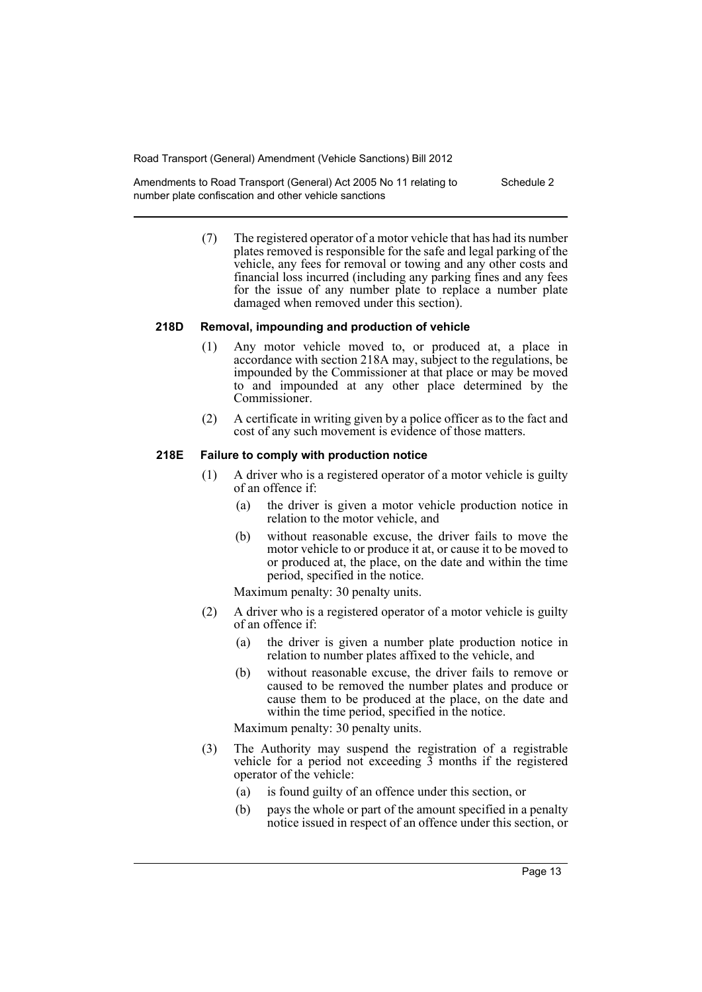Amendments to Road Transport (General) Act 2005 No 11 relating to number plate confiscation and other vehicle sanctions Schedule 2

> (7) The registered operator of a motor vehicle that has had its number plates removed is responsible for the safe and legal parking of the vehicle, any fees for removal or towing and any other costs and financial loss incurred (including any parking fines and any fees for the issue of any number plate to replace a number plate damaged when removed under this section).

#### **218D Removal, impounding and production of vehicle**

- (1) Any motor vehicle moved to, or produced at, a place in accordance with section 218A may, subject to the regulations, be impounded by the Commissioner at that place or may be moved to and impounded at any other place determined by the Commissioner.
- (2) A certificate in writing given by a police officer as to the fact and cost of any such movement is evidence of those matters.

#### **218E Failure to comply with production notice**

- (1) A driver who is a registered operator of a motor vehicle is guilty of an offence if:
	- (a) the driver is given a motor vehicle production notice in relation to the motor vehicle, and
	- (b) without reasonable excuse, the driver fails to move the motor vehicle to or produce it at, or cause it to be moved to or produced at, the place, on the date and within the time period, specified in the notice.

Maximum penalty: 30 penalty units.

- (2) A driver who is a registered operator of a motor vehicle is guilty of an offence if:
	- (a) the driver is given a number plate production notice in relation to number plates affixed to the vehicle, and
	- (b) without reasonable excuse, the driver fails to remove or caused to be removed the number plates and produce or cause them to be produced at the place, on the date and within the time period, specified in the notice.

Maximum penalty: 30 penalty units.

- (3) The Authority may suspend the registration of a registrable vehicle for a period not exceeding 3 months if the registered operator of the vehicle:
	- (a) is found guilty of an offence under this section, or
	- (b) pays the whole or part of the amount specified in a penalty notice issued in respect of an offence under this section, or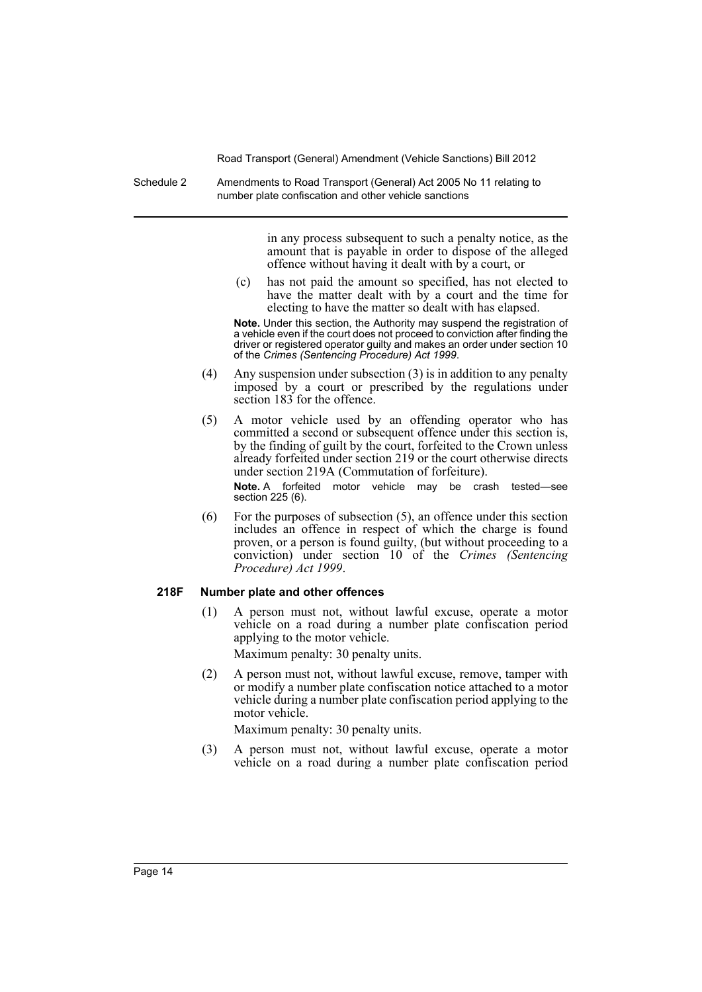Schedule 2 Amendments to Road Transport (General) Act 2005 No 11 relating to number plate confiscation and other vehicle sanctions

> in any process subsequent to such a penalty notice, as the amount that is payable in order to dispose of the alleged offence without having it dealt with by a court, or

(c) has not paid the amount so specified, has not elected to have the matter dealt with by a court and the time for electing to have the matter so dealt with has elapsed.

**Note.** Under this section, the Authority may suspend the registration of a vehicle even if the court does not proceed to conviction after finding the driver or registered operator guilty and makes an order under section 10 of the *Crimes (Sentencing Procedure) Act 1999*.

- (4) Any suspension under subsection (3) is in addition to any penalty imposed by a court or prescribed by the regulations under section 183 for the offence.
- (5) A motor vehicle used by an offending operator who has committed a second or subsequent offence under this section is, by the finding of guilt by the court, forfeited to the Crown unless already forfeited under section 219 or the court otherwise directs under section 219A (Commutation of forfeiture).

**Note.** A forfeited motor vehicle may be crash tested—see section 225 (6).

(6) For the purposes of subsection (5), an offence under this section includes an offence in respect of which the charge is found proven, or a person is found guilty, (but without proceeding to a conviction) under section 10 of the *Crimes (Sentencing Procedure) Act 1999*.

#### **218F Number plate and other offences**

(1) A person must not, without lawful excuse, operate a motor vehicle on a road during a number plate confiscation period applying to the motor vehicle.

Maximum penalty: 30 penalty units.

(2) A person must not, without lawful excuse, remove, tamper with or modify a number plate confiscation notice attached to a motor vehicle during a number plate confiscation period applying to the motor vehicle.

Maximum penalty: 30 penalty units.

(3) A person must not, without lawful excuse, operate a motor vehicle on a road during a number plate confiscation period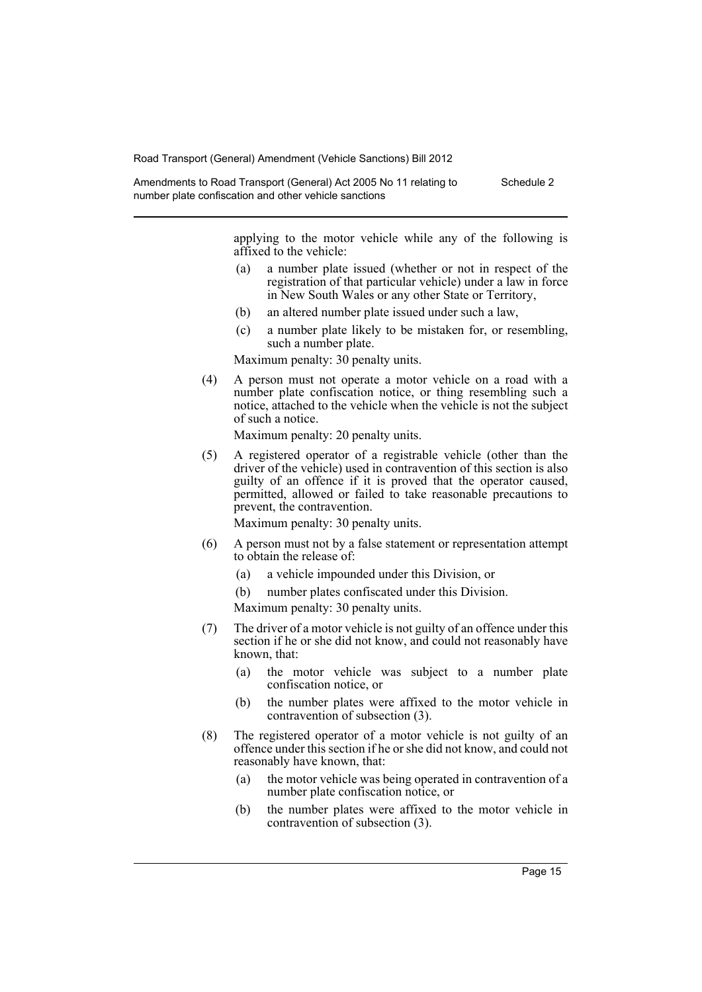Amendments to Road Transport (General) Act 2005 No 11 relating to number plate confiscation and other vehicle sanctions Schedule 2

> applying to the motor vehicle while any of the following is affixed to the vehicle:

- (a) a number plate issued (whether or not in respect of the registration of that particular vehicle) under a law in force in New South Wales or any other State or Territory,
- (b) an altered number plate issued under such a law,
- (c) a number plate likely to be mistaken for, or resembling, such a number plate.

Maximum penalty: 30 penalty units.

(4) A person must not operate a motor vehicle on a road with a number plate confiscation notice, or thing resembling such a notice, attached to the vehicle when the vehicle is not the subject of such a notice.

Maximum penalty: 20 penalty units.

(5) A registered operator of a registrable vehicle (other than the driver of the vehicle) used in contravention of this section is also guilty of an offence if it is proved that the operator caused, permitted, allowed or failed to take reasonable precautions to prevent, the contravention.

Maximum penalty: 30 penalty units.

- (6) A person must not by a false statement or representation attempt to obtain the release of:
	- (a) a vehicle impounded under this Division, or
	- (b) number plates confiscated under this Division.

Maximum penalty: 30 penalty units.

- (7) The driver of a motor vehicle is not guilty of an offence under this section if he or she did not know, and could not reasonably have known, that:
	- (a) the motor vehicle was subject to a number plate confiscation notice, or
	- (b) the number plates were affixed to the motor vehicle in contravention of subsection (3).
- (8) The registered operator of a motor vehicle is not guilty of an offence under this section if he or she did not know, and could not reasonably have known, that:
	- (a) the motor vehicle was being operated in contravention of a number plate confiscation notice, or
	- (b) the number plates were affixed to the motor vehicle in contravention of subsection (3).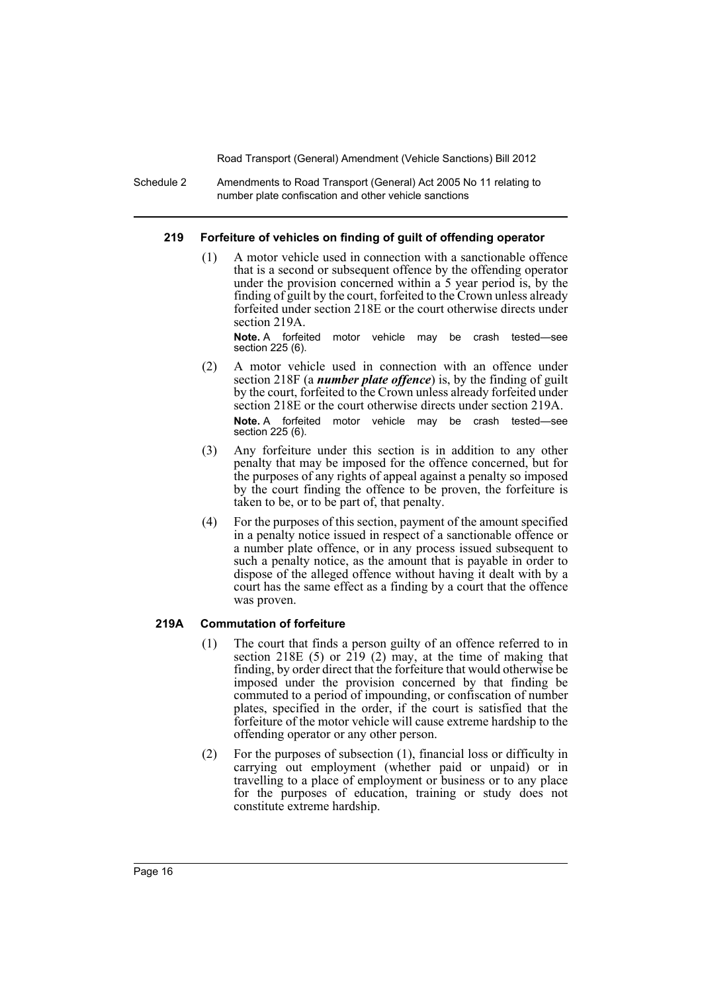Schedule 2 Amendments to Road Transport (General) Act 2005 No 11 relating to number plate confiscation and other vehicle sanctions

#### **219 Forfeiture of vehicles on finding of guilt of offending operator**

(1) A motor vehicle used in connection with a sanctionable offence that is a second or subsequent offence by the offending operator under the provision concerned within a 5 year period is, by the finding of guilt by the court, forfeited to the Crown unless already forfeited under section 218E or the court otherwise directs under section 219A.

**Note.** A forfeited motor vehicle may be crash tested—see section 225 (6).

- (2) A motor vehicle used in connection with an offence under section 218F (a *number plate offence*) is, by the finding of guilt by the court, forfeited to the Crown unless already forfeited under section 218E or the court otherwise directs under section 219A. **Note.** A forfeited motor vehicle may be crash tested—see section 225 (6).
- (3) Any forfeiture under this section is in addition to any other penalty that may be imposed for the offence concerned, but for the purposes of any rights of appeal against a penalty so imposed by the court finding the offence to be proven, the forfeiture is taken to be, or to be part of, that penalty.
- (4) For the purposes of this section, payment of the amount specified in a penalty notice issued in respect of a sanctionable offence or a number plate offence, or in any process issued subsequent to such a penalty notice, as the amount that is payable in order to dispose of the alleged offence without having it dealt with by a court has the same effect as a finding by a court that the offence was proven.

# **219A Commutation of forfeiture**

- (1) The court that finds a person guilty of an offence referred to in section 218E  $(5)$  or 219  $(2)$  may, at the time of making that finding, by order direct that the forfeiture that would otherwise be imposed under the provision concerned by that finding be commuted to a period of impounding, or confiscation of number plates, specified in the order, if the court is satisfied that the forfeiture of the motor vehicle will cause extreme hardship to the offending operator or any other person.
- (2) For the purposes of subsection (1), financial loss or difficulty in carrying out employment (whether paid or unpaid) or in travelling to a place of employment or business or to any place for the purposes of education, training or study does not constitute extreme hardship.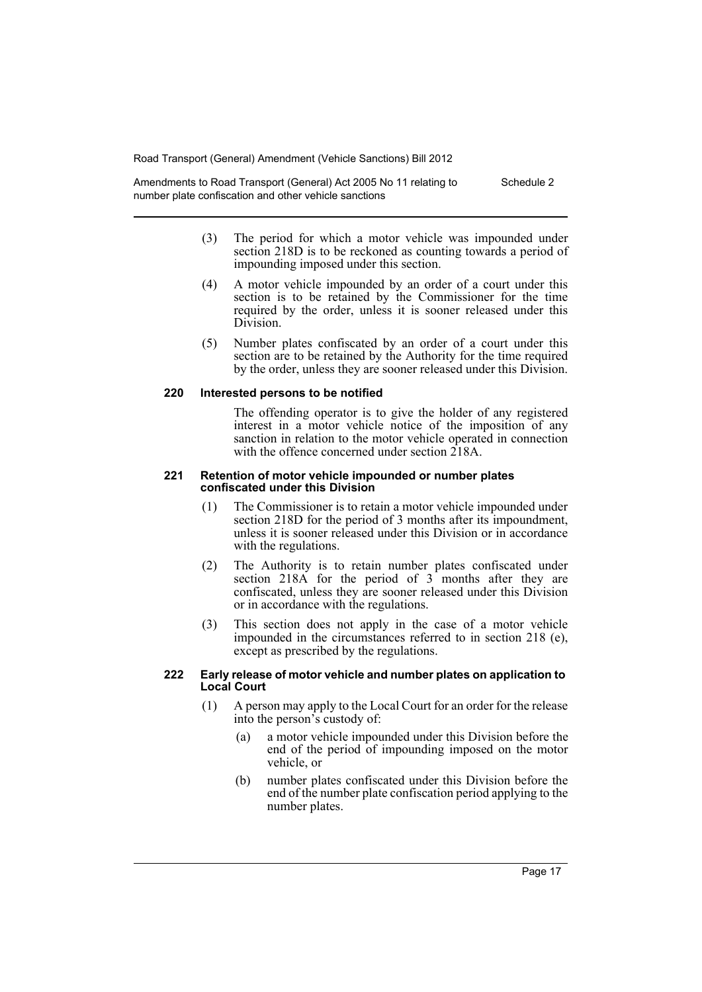Amendments to Road Transport (General) Act 2005 No 11 relating to number plate confiscation and other vehicle sanctions Schedule 2

- (3) The period for which a motor vehicle was impounded under section 218D is to be reckoned as counting towards a period of impounding imposed under this section.
- (4) A motor vehicle impounded by an order of a court under this section is to be retained by the Commissioner for the time required by the order, unless it is sooner released under this Division.
- (5) Number plates confiscated by an order of a court under this section are to be retained by the Authority for the time required by the order, unless they are sooner released under this Division.

#### **220 Interested persons to be notified**

The offending operator is to give the holder of any registered interest in a motor vehicle notice of the imposition of any sanction in relation to the motor vehicle operated in connection with the offence concerned under section 218A.

#### **221 Retention of motor vehicle impounded or number plates confiscated under this Division**

- (1) The Commissioner is to retain a motor vehicle impounded under section 218D for the period of 3 months after its impoundment, unless it is sooner released under this Division or in accordance with the regulations.
- (2) The Authority is to retain number plates confiscated under section 218A for the period of 3 months after they are confiscated, unless they are sooner released under this Division or in accordance with the regulations.
- (3) This section does not apply in the case of a motor vehicle impounded in the circumstances referred to in section 218 (e), except as prescribed by the regulations.

#### **222 Early release of motor vehicle and number plates on application to Local Court**

- (1) A person may apply to the Local Court for an order for the release into the person's custody of:
	- (a) a motor vehicle impounded under this Division before the end of the period of impounding imposed on the motor vehicle, or
	- (b) number plates confiscated under this Division before the end of the number plate confiscation period applying to the number plates.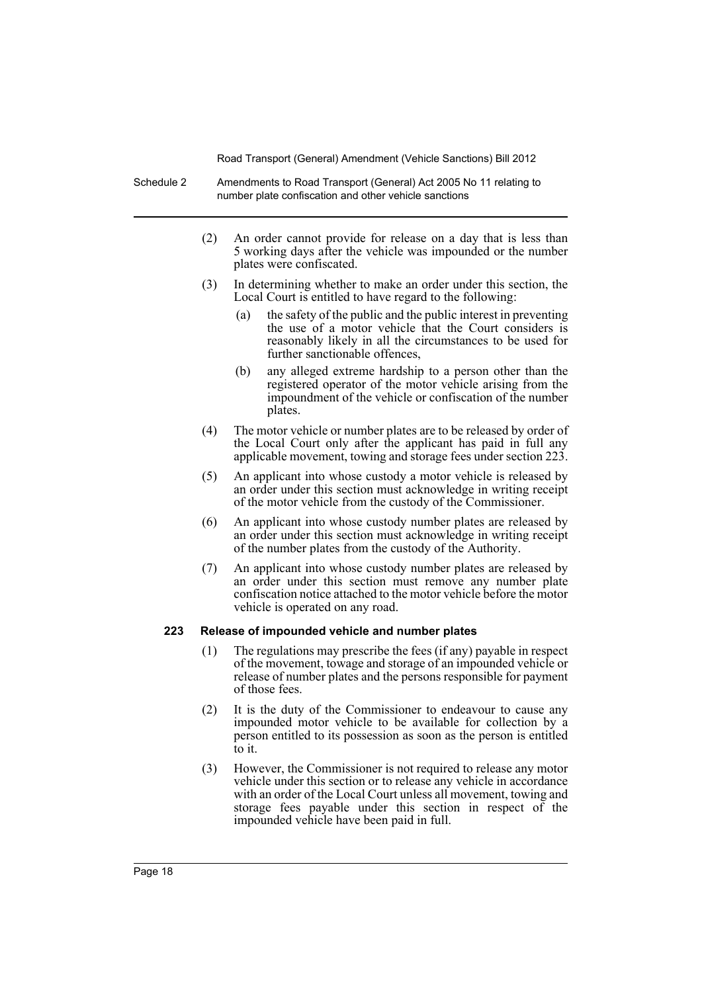Schedule 2 Amendments to Road Transport (General) Act 2005 No 11 relating to number plate confiscation and other vehicle sanctions

- (2) An order cannot provide for release on a day that is less than 5 working days after the vehicle was impounded or the number plates were confiscated.
- (3) In determining whether to make an order under this section, the Local Court is entitled to have regard to the following:
	- (a) the safety of the public and the public interest in preventing the use of a motor vehicle that the Court considers is reasonably likely in all the circumstances to be used for further sanctionable offences,
	- (b) any alleged extreme hardship to a person other than the registered operator of the motor vehicle arising from the impoundment of the vehicle or confiscation of the number plates.
- (4) The motor vehicle or number plates are to be released by order of the Local Court only after the applicant has paid in full any applicable movement, towing and storage fees under section 223.
- (5) An applicant into whose custody a motor vehicle is released by an order under this section must acknowledge in writing receipt of the motor vehicle from the custody of the Commissioner.
- (6) An applicant into whose custody number plates are released by an order under this section must acknowledge in writing receipt of the number plates from the custody of the Authority.
- (7) An applicant into whose custody number plates are released by an order under this section must remove any number plate confiscation notice attached to the motor vehicle before the motor vehicle is operated on any road.

# **223 Release of impounded vehicle and number plates**

- (1) The regulations may prescribe the fees (if any) payable in respect of the movement, towage and storage of an impounded vehicle or release of number plates and the persons responsible for payment of those fees.
- (2) It is the duty of the Commissioner to endeavour to cause any impounded motor vehicle to be available for collection by a person entitled to its possession as soon as the person is entitled to it.
- (3) However, the Commissioner is not required to release any motor vehicle under this section or to release any vehicle in accordance with an order of the Local Court unless all movement, towing and storage fees payable under this section in respect of the impounded vehicle have been paid in full.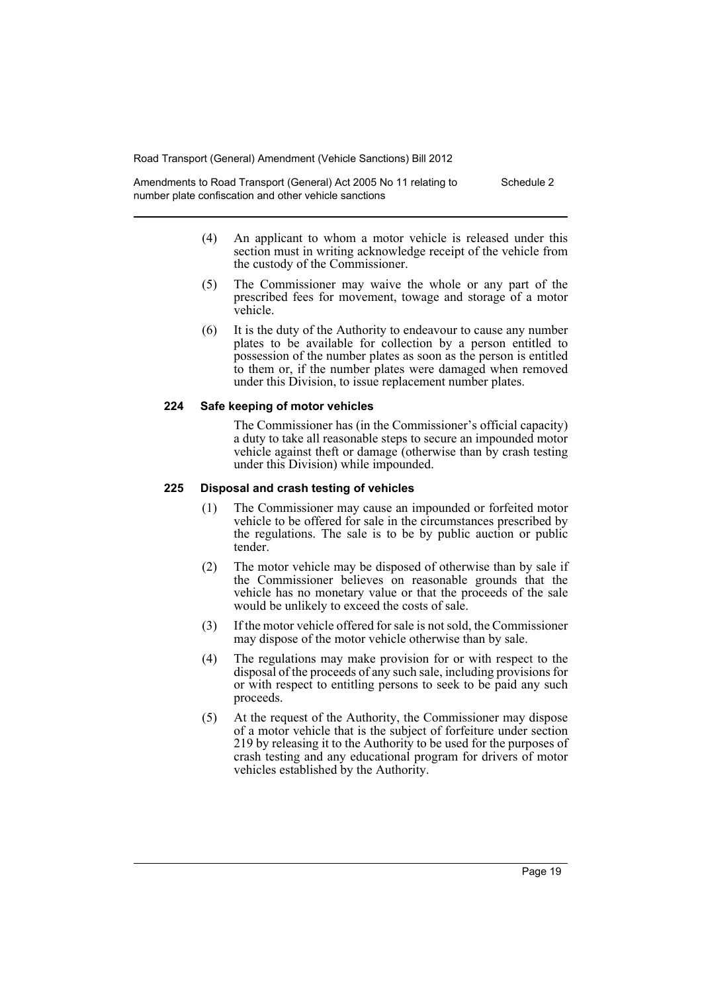Amendments to Road Transport (General) Act 2005 No 11 relating to number plate confiscation and other vehicle sanctions Schedule 2

- (4) An applicant to whom a motor vehicle is released under this section must in writing acknowledge receipt of the vehicle from the custody of the Commissioner.
- (5) The Commissioner may waive the whole or any part of the prescribed fees for movement, towage and storage of a motor vehicle.
- (6) It is the duty of the Authority to endeavour to cause any number plates to be available for collection by a person entitled to possession of the number plates as soon as the person is entitled to them or, if the number plates were damaged when removed under this Division, to issue replacement number plates.

#### **224 Safe keeping of motor vehicles**

The Commissioner has (in the Commissioner's official capacity) a duty to take all reasonable steps to secure an impounded motor vehicle against theft or damage (otherwise than by crash testing under this Division) while impounded.

#### **225 Disposal and crash testing of vehicles**

- (1) The Commissioner may cause an impounded or forfeited motor vehicle to be offered for sale in the circumstances prescribed by the regulations. The sale is to be by public auction or public tender.
- (2) The motor vehicle may be disposed of otherwise than by sale if the Commissioner believes on reasonable grounds that the vehicle has no monetary value or that the proceeds of the sale would be unlikely to exceed the costs of sale.
- (3) If the motor vehicle offered for sale is not sold, the Commissioner may dispose of the motor vehicle otherwise than by sale.
- (4) The regulations may make provision for or with respect to the disposal of the proceeds of any such sale, including provisions for or with respect to entitling persons to seek to be paid any such proceeds.
- (5) At the request of the Authority, the Commissioner may dispose of a motor vehicle that is the subject of forfeiture under section 219 by releasing it to the Authority to be used for the purposes of crash testing and any educational program for drivers of motor vehicles established by the Authority.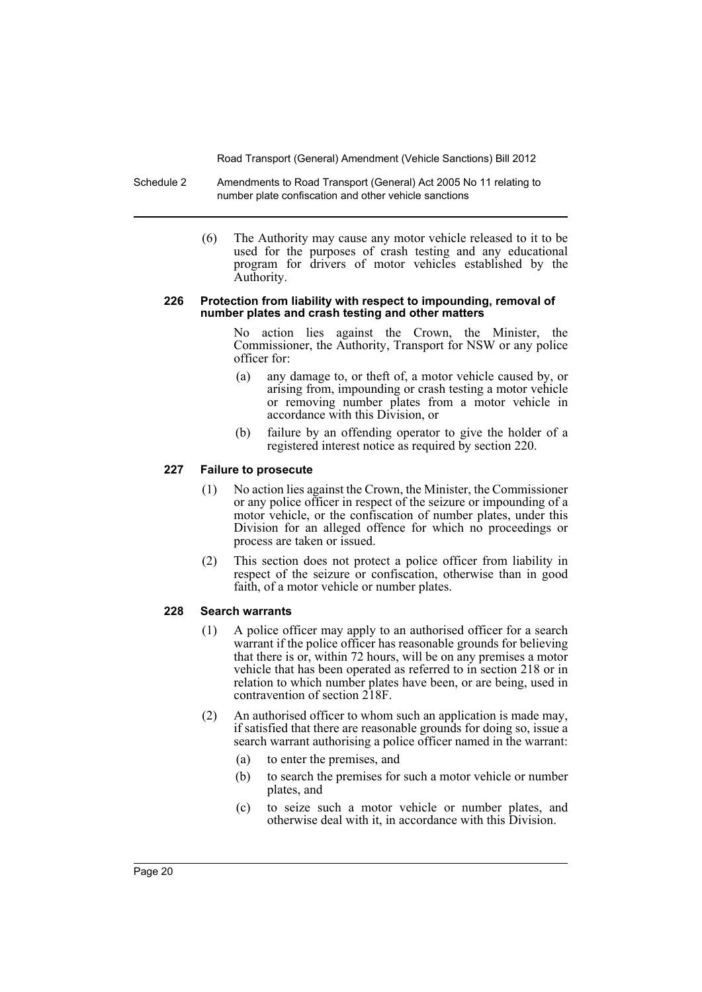- Schedule 2 Amendments to Road Transport (General) Act 2005 No 11 relating to number plate confiscation and other vehicle sanctions
	- (6) The Authority may cause any motor vehicle released to it to be used for the purposes of crash testing and any educational program for drivers of motor vehicles established by the Authority.

#### **226 Protection from liability with respect to impounding, removal of number plates and crash testing and other matters**

No action lies against the Crown, the Minister, the Commissioner, the Authority, Transport for NSW or any police officer for:

- (a) any damage to, or theft of, a motor vehicle caused by, or arising from, impounding or crash testing a motor vehicle or removing number plates from a motor vehicle in accordance with this Division, or
- (b) failure by an offending operator to give the holder of a registered interest notice as required by section 220.

### **227 Failure to prosecute**

- (1) No action lies against the Crown, the Minister, the Commissioner or any police officer in respect of the seizure or impounding of a motor vehicle, or the confiscation of number plates, under this Division for an alleged offence for which no proceedings or process are taken or issued.
- (2) This section does not protect a police officer from liability in respect of the seizure or confiscation, otherwise than in good faith, of a motor vehicle or number plates.

# **228 Search warrants**

- (1) A police officer may apply to an authorised officer for a search warrant if the police officer has reasonable grounds for believing that there is or, within 72 hours, will be on any premises a motor vehicle that has been operated as referred to in section 218 or in relation to which number plates have been, or are being, used in contravention of section 218F.
- (2) An authorised officer to whom such an application is made may, if satisfied that there are reasonable grounds for doing so, issue a search warrant authorising a police officer named in the warrant:
	- (a) to enter the premises, and
	- (b) to search the premises for such a motor vehicle or number plates, and
	- (c) to seize such a motor vehicle or number plates, and otherwise deal with it, in accordance with this Division.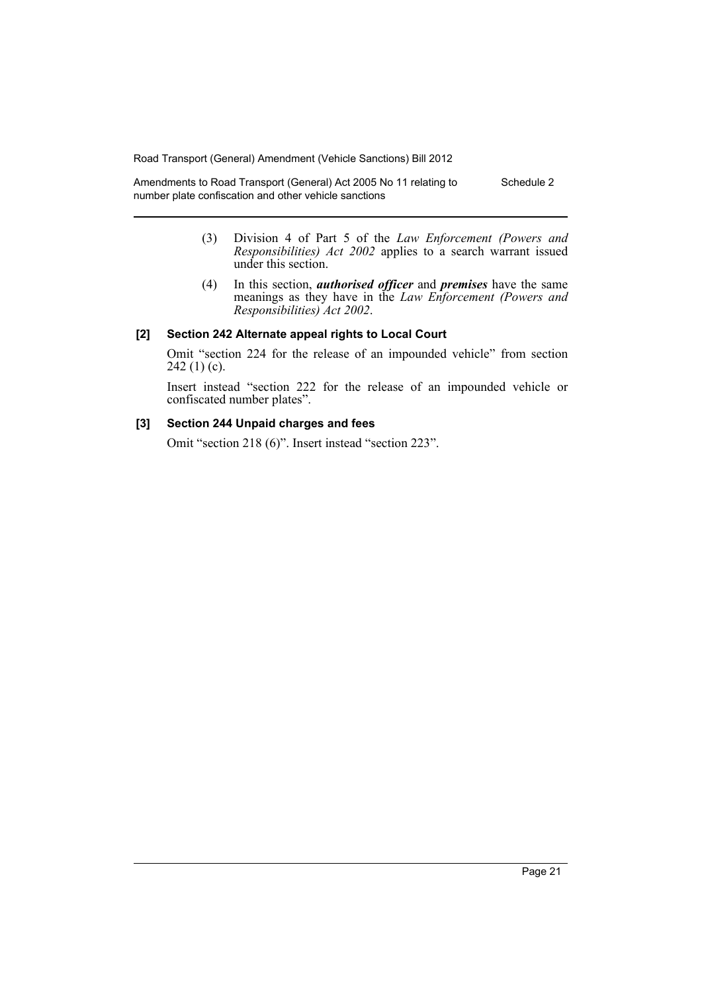Amendments to Road Transport (General) Act 2005 No 11 relating to number plate confiscation and other vehicle sanctions Schedule 2

- (3) Division 4 of Part 5 of the *Law Enforcement (Powers and Responsibilities) Act 2002* applies to a search warrant issued under this section.
- (4) In this section, *authorised officer* and *premises* have the same meanings as they have in the *Law Enforcement (Powers and Responsibilities) Act 2002*.

#### **[2] Section 242 Alternate appeal rights to Local Court**

Omit "section 224 for the release of an impounded vehicle" from section 242 $(1)(c)$ .

Insert instead "section 222 for the release of an impounded vehicle or confiscated number plates".

## **[3] Section 244 Unpaid charges and fees**

Omit "section 218 (6)". Insert instead "section 223".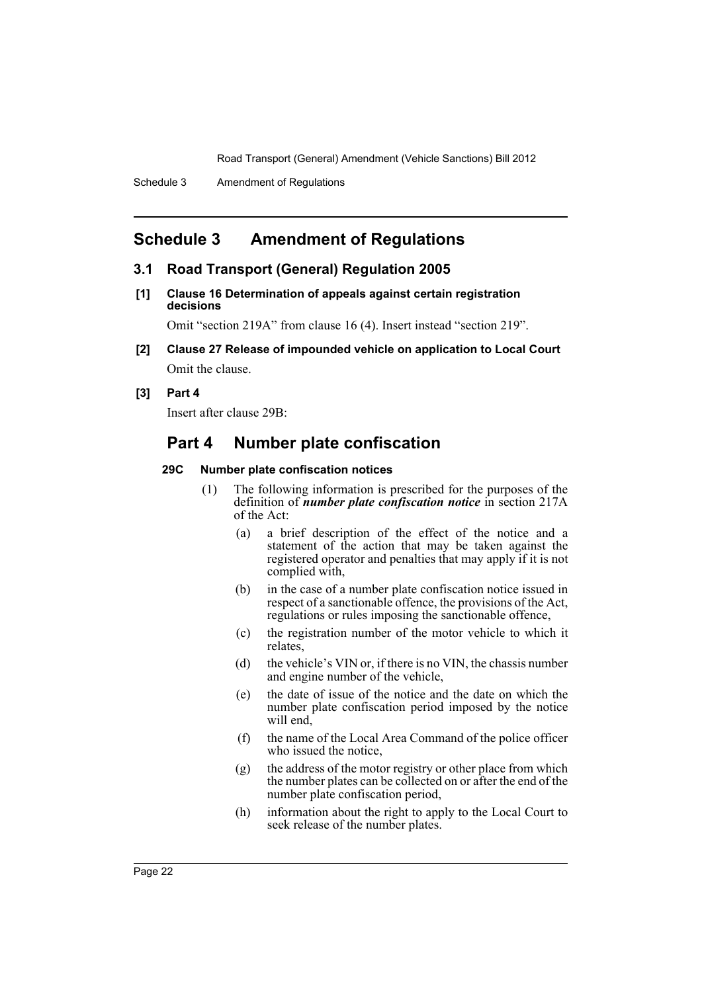# <span id="page-23-0"></span>**Schedule 3 Amendment of Regulations**

### **3.1 Road Transport (General) Regulation 2005**

**[1] Clause 16 Determination of appeals against certain registration decisions**

Omit "section 219A" from clause 16 (4). Insert instead "section 219".

**[2] Clause 27 Release of impounded vehicle on application to Local Court** Omit the clause.

#### **[3] Part 4**

Insert after clause 29B:

# **Part 4 Number plate confiscation**

# **29C Number plate confiscation notices**

- (1) The following information is prescribed for the purposes of the definition of *number plate confiscation notice* in section 217A of the Act:
	- (a) a brief description of the effect of the notice and a statement of the action that may be taken against the registered operator and penalties that may apply if it is not complied with,
	- (b) in the case of a number plate confiscation notice issued in respect of a sanctionable offence, the provisions of the Act, regulations or rules imposing the sanctionable offence,
	- (c) the registration number of the motor vehicle to which it relates,
	- (d) the vehicle's VIN or, if there is no VIN, the chassis number and engine number of the vehicle,
	- (e) the date of issue of the notice and the date on which the number plate confiscation period imposed by the notice will end,
	- (f) the name of the Local Area Command of the police officer who issued the notice,
	- (g) the address of the motor registry or other place from which the number plates can be collected on or after the end of the number plate confiscation period,
	- (h) information about the right to apply to the Local Court to seek release of the number plates.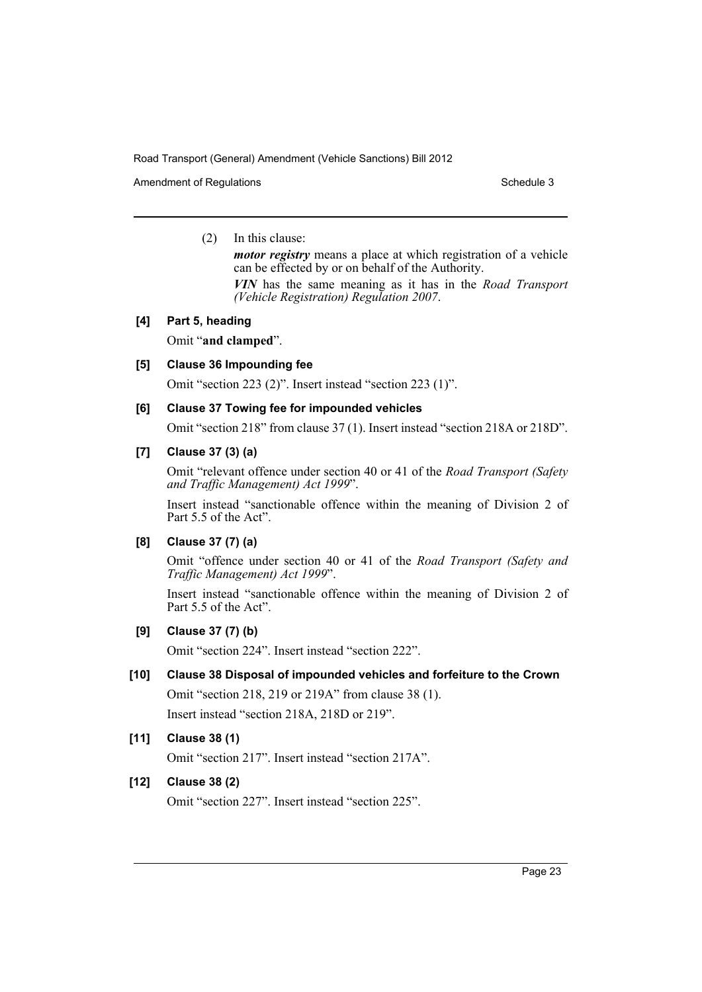Amendment of Regulations **Schedule 3** Schedule 3

## (2) In this clause:

*motor registry* means a place at which registration of a vehicle can be effected by or on behalf of the Authority. *VIN* has the same meaning as it has in the *Road Transport*

*(Vehicle Registration) Regulation 2007*.

# **[4] Part 5, heading**

Omit "**and clamped**".

# **[5] Clause 36 Impounding fee**

Omit "section 223 (2)". Insert instead "section 223 (1)".

# **[6] Clause 37 Towing fee for impounded vehicles**

Omit "section 218" from clause 37 (1). Insert instead "section 218A or 218D".

# **[7] Clause 37 (3) (a)**

Omit "relevant offence under section 40 or 41 of the *Road Transport (Safety and Traffic Management) Act 1999*".

Insert instead "sanctionable offence within the meaning of Division 2 of Part 5.5 of the Act".

# **[8] Clause 37 (7) (a)**

Omit "offence under section 40 or 41 of the *Road Transport (Safety and Traffic Management) Act 1999*".

Insert instead "sanctionable offence within the meaning of Division 2 of Part 5.5 of the Act".

# **[9] Clause 37 (7) (b)**

Omit "section 224". Insert instead "section 222".

# **[10] Clause 38 Disposal of impounded vehicles and forfeiture to the Crown**

Omit "section 218, 219 or 219A" from clause 38 (1). Insert instead "section 218A, 218D or 219".

# **[11] Clause 38 (1)**

Omit "section 217". Insert instead "section 217A".

# **[12] Clause 38 (2)**

Omit "section 227". Insert instead "section 225".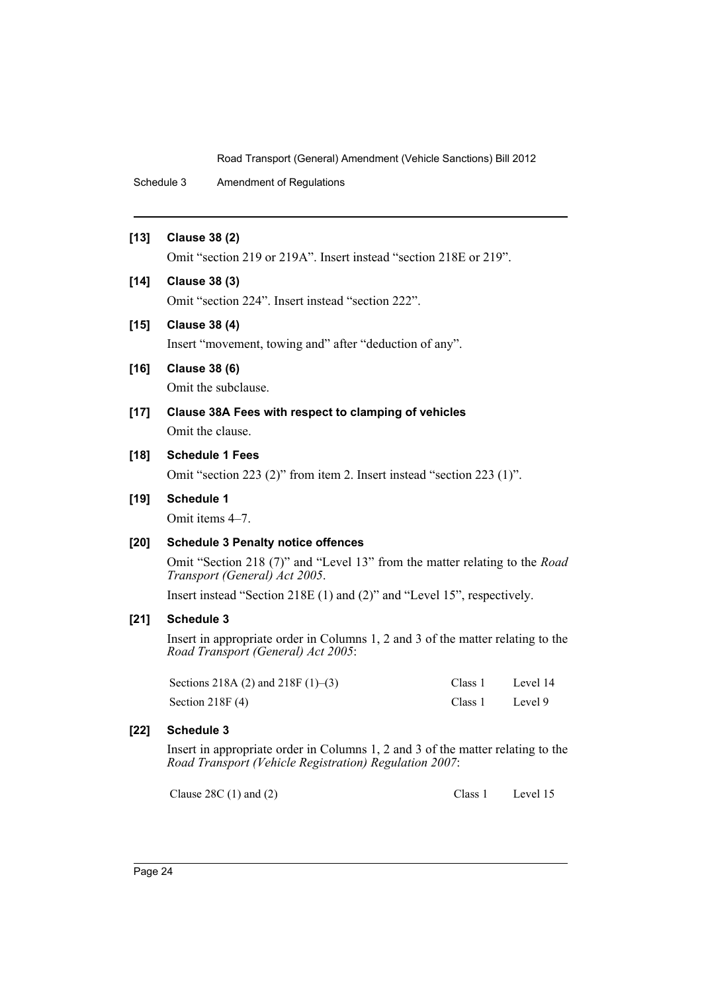Schedule 3 Amendment of Regulations

### **[13] Clause 38 (2)**

Omit "section 219 or 219A". Insert instead "section 218E or 219".

# **[14] Clause 38 (3)**

Omit "section 224". Insert instead "section 222".

## **[15] Clause 38 (4)**

Insert "movement, towing and" after "deduction of any".

# **[16] Clause 38 (6)**

Omit the subclause.

**[17] Clause 38A Fees with respect to clamping of vehicles** Omit the clause.

#### **[18] Schedule 1 Fees**

Omit "section 223 (2)" from item 2. Insert instead "section 223 (1)".

#### **[19] Schedule 1**

Omit items 4–7.

# **[20] Schedule 3 Penalty notice offences**

Omit "Section 218 (7)" and "Level 13" from the matter relating to the *Road Transport (General) Act 2005*.

Insert instead "Section 218E (1) and (2)" and "Level 15", respectively.

# **[21] Schedule 3**

Insert in appropriate order in Columns 1, 2 and 3 of the matter relating to the *Road Transport (General) Act 2005*:

| Sections 218A (2) and 218F $(1)$ – $(3)$ | Class 1 | Level 14 |
|------------------------------------------|---------|----------|
| Section $218F(4)$                        | Class 1 | Level 9  |

# **[22] Schedule 3**

Insert in appropriate order in Columns 1, 2 and 3 of the matter relating to the *Road Transport (Vehicle Registration) Regulation 2007*:

Clause 28C (1) and (2) Class 1 Level 15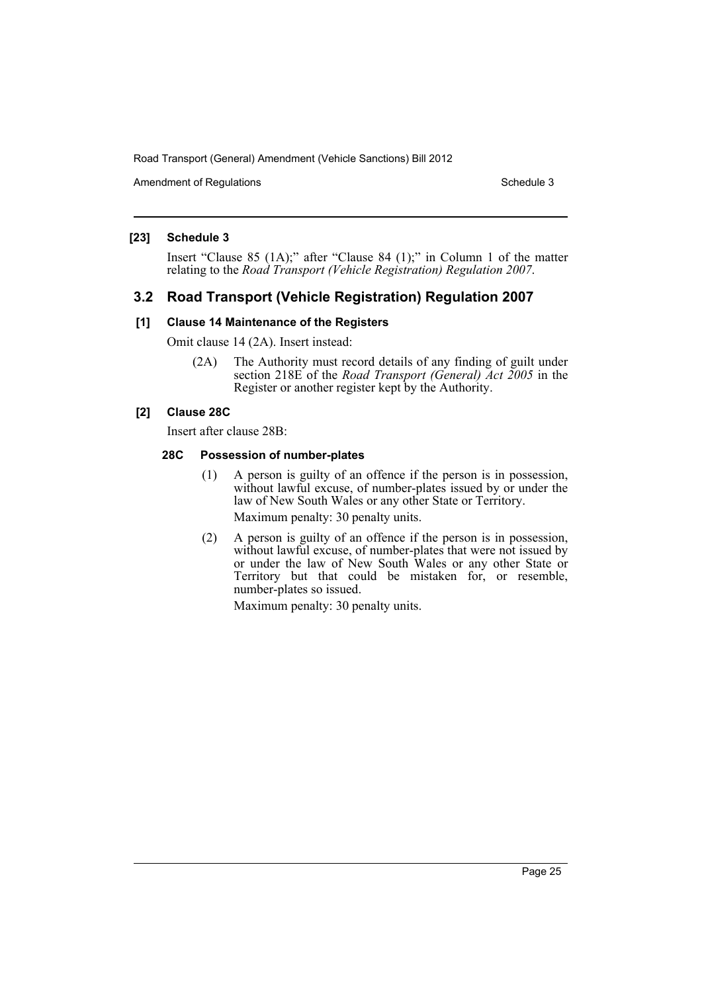Amendment of Regulations **Schedule 3** Schedule 3

## **[23] Schedule 3**

Insert "Clause 85 (1A);" after "Clause 84 (1);" in Column 1 of the matter relating to the *Road Transport (Vehicle Registration) Regulation 2007*.

# **3.2 Road Transport (Vehicle Registration) Regulation 2007**

### **[1] Clause 14 Maintenance of the Registers**

Omit clause 14 (2A). Insert instead:

(2A) The Authority must record details of any finding of guilt under section 218E of the *Road Transport (General) Act 2005* in the Register or another register kept by the Authority.

# **[2] Clause 28C**

Insert after clause 28B:

### **28C Possession of number-plates**

- (1) A person is guilty of an offence if the person is in possession, without lawful excuse, of number-plates issued by or under the law of New South Wales or any other State or Territory. Maximum penalty: 30 penalty units.
- (2) A person is guilty of an offence if the person is in possession, without lawful excuse, of number-plates that were not issued by or under the law of New South Wales or any other State or Territory but that could be mistaken for, or resemble, number-plates so issued.

Maximum penalty: 30 penalty units.